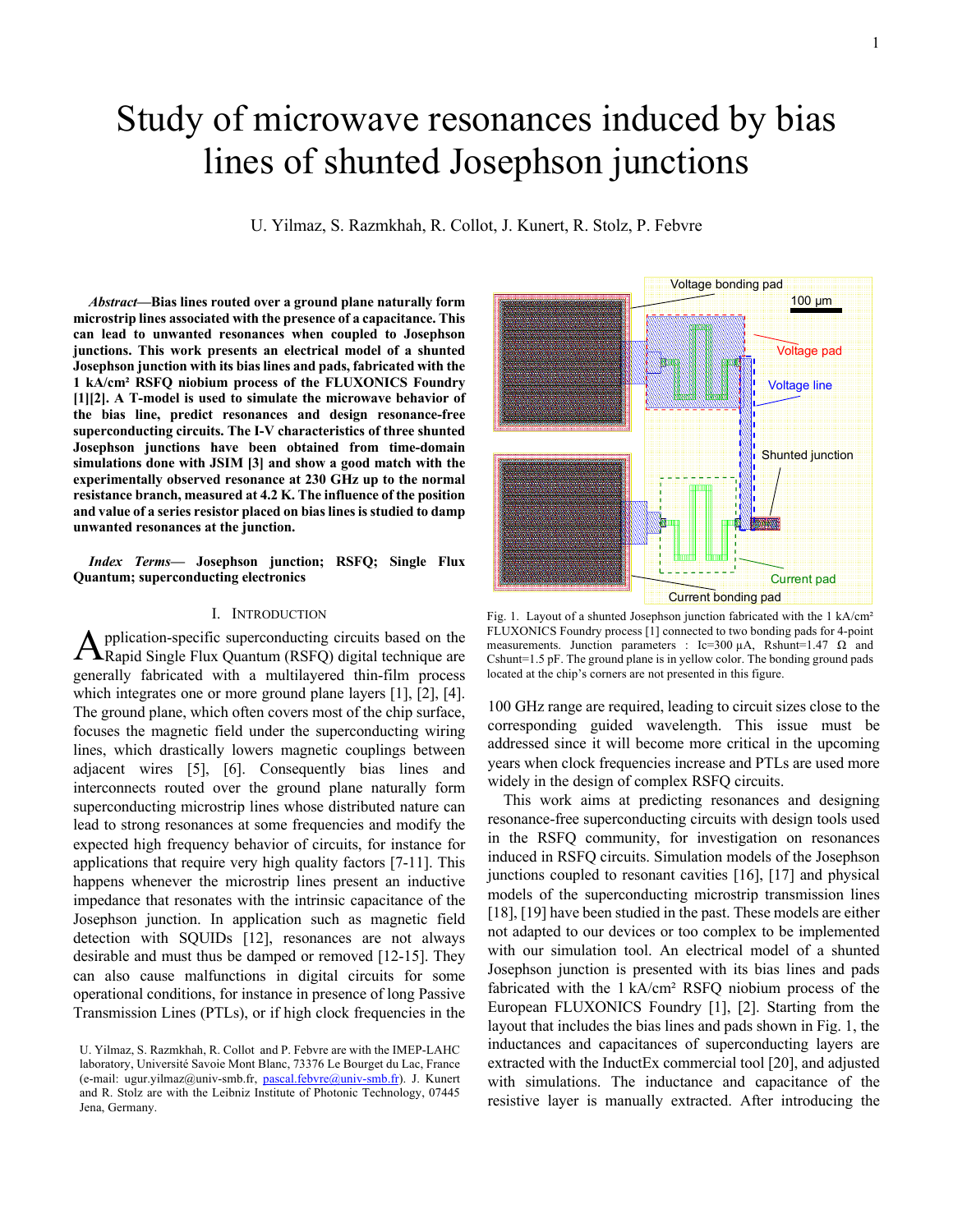# Study of microwave resonances induced by bias lines of shunted Josephson junctions

U. Yilmaz, S. Razmkhah, R. Collot, J. Kunert, R. Stolz, P. Febvre

*Abstract***—Bias lines routed over a ground plane naturally form microstrip lines associated with the presence of a capacitance. This can lead to unwanted resonances when coupled to Josephson junctions. This work presents an electrical model of a shunted Josephson junction with its bias lines and pads, fabricated with the 1 kA/cm² RSFQ niobium process of the FLUXONICS Foundry [1][2]. A T-model is used to simulate the microwave behavior of the bias line, predict resonances and design resonance-free superconducting circuits. The I-V characteristics of three shunted Josephson junctions have been obtained from time-domain simulations done with JSIM [3] and show a good match with the experimentally observed resonance at 230 GHz up to the normal resistance branch, measured at 4.2 K. The influence of the position and value of a series resistor placed on bias lines is studied to damp unwanted resonances at the junction.**

*Index Terms***— Josephson junction; RSFQ; Single Flux Quantum; superconducting electronics**

## I. INTRODUCTION

pplication-specific superconducting circuits based on the **A** pplication-specific superconducting circuits based on the Rapid Single Flux Quantum (RSFQ) digital technique are generally fabricated with a multilayered thin-film process which integrates one or more ground plane layers [1], [2], [4]. The ground plane, which often covers most of the chip surface, focuses the magnetic field under the superconducting wiring lines, which drastically lowers magnetic couplings between adjacent wires [5], [6]. Consequently bias lines and interconnects routed over the ground plane naturally form superconducting microstrip lines whose distributed nature can lead to strong resonances at some frequencies and modify the expected high frequency behavior of circuits, for instance for applications that require very high quality factors [7-11]. This happens whenever the microstrip lines present an inductive impedance that resonates with the intrinsic capacitance of the Josephson junction. In application such as magnetic field detection with SQUIDs [12], resonances are not always desirable and must thus be damped or removed [12-15]. They can also cause malfunctions in digital circuits for some operational conditions, for instance in presence of long Passive Transmission Lines (PTLs), or if high clock frequencies in the



Fig. 1. Layout of a shunted Josephson junction fabricated with the 1 kA/cm<sup>2</sup> FLUXONICS Foundry process [1] connected to two bonding pads for 4-point measurements. Junction parameters : Ic=300  $\mu$ A, Rshunt=1.47  $\Omega$  and Cshunt=1.5 pF. The ground plane is in yellow color. The bonding ground pads located at the chip's corners are not presented in this figure.

100 GHz range are required, leading to circuit sizes close to the corresponding guided wavelength. This issue must be addressed since it will become more critical in the upcoming years when clock frequencies increase and PTLs are used more widely in the design of complex RSFQ circuits.

This work aims at predicting resonances and designing resonance-free superconducting circuits with design tools used in the RSFQ community, for investigation on resonances induced in RSFQ circuits. Simulation models of the Josephson junctions coupled to resonant cavities [16], [17] and physical models of the superconducting microstrip transmission lines [18], [19] have been studied in the past. These models are either not adapted to our devices or too complex to be implemented with our simulation tool. An electrical model of a shunted Josephson junction is presented with its bias lines and pads fabricated with the 1 kA/cm² RSFQ niobium process of the European FLUXONICS Foundry [1], [2]. Starting from the layout that includes the bias lines and pads shown in Fig. 1, the inductances and capacitances of superconducting layers are extracted with the InductEx commercial tool [20], and adjusted with simulations. The inductance and capacitance of the resistive layer is manually extracted. After introducing the

U. Yilmaz, S. Razmkhah, R. Collot and P. Febvre are with the IMEP-LAHC laboratory, Université Savoie Mont Blanc, 73376 Le Bourget du Lac, France (e-mail: ugur.yilmaz@univ-smb.fr, pascal.febvre@univ-smb.fr). J. Kunert and R. Stolz are with the Leibniz Institute of Photonic Technology, 07445 Jena, Germany.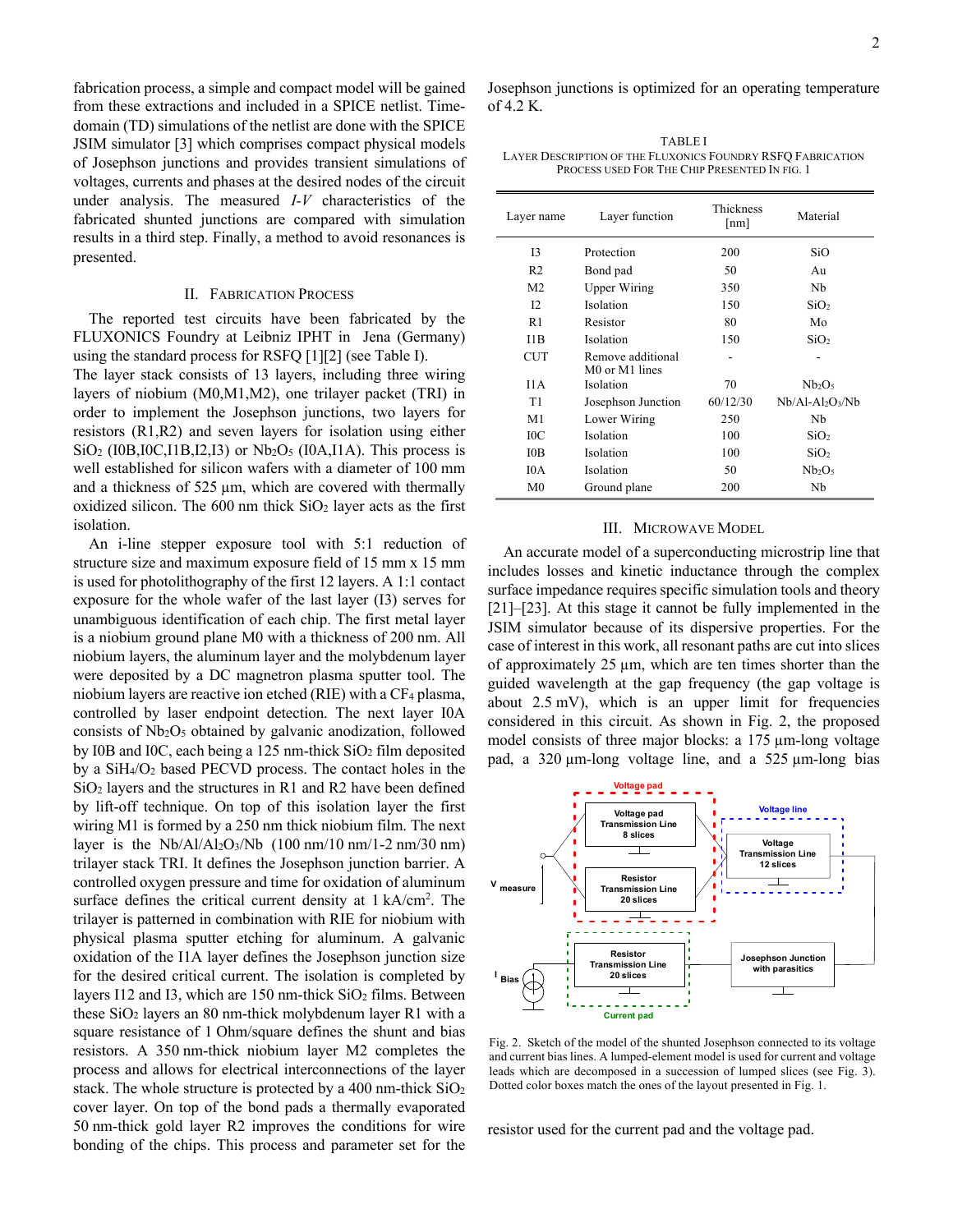fabrication process, a simple and compact model will be gained from these extractions and included in a SPICE netlist. Timedomain (TD) simulations of the netlist are done with the SPICE JSIM simulator [3] which comprises compact physical models of Josephson junctions and provides transient simulations of voltages, currents and phases at the desired nodes of the circuit under analysis. The measured *I-V* characteristics of the fabricated shunted junctions are compared with simulation results in a third step. Finally, a method to avoid resonances is presented.

#### II. FABRICATION PROCESS

The reported test circuits have been fabricated by the FLUXONICS Foundry at Leibniz IPHT in Jena (Germany) using the standard process for RSFQ [1][2] (see Table I).

The layer stack consists of 13 layers, including three wiring layers of niobium (M0,M1,M2), one trilayer packet (TRI) in order to implement the Josephson junctions, two layers for resistors (R1,R2) and seven layers for isolation using either  $SiO<sub>2</sub>$  (I0B, I0C, I1B, I2, I3) or Nb<sub>2</sub>O<sub>5</sub> (I0A, I1A). This process is well established for silicon wafers with a diameter of 100 mm and a thickness of 525 µm, which are covered with thermally oxidized silicon. The  $600$  nm thick  $SiO<sub>2</sub>$  layer acts as the first isolation.

An i-line stepper exposure tool with 5:1 reduction of structure size and maximum exposure field of 15 mm x 15 mm is used for photolithography of the first 12 layers. A 1:1 contact exposure for the whole wafer of the last layer (I3) serves for unambiguous identification of each chip. The first metal layer is a niobium ground plane M0 with a thickness of 200 nm. All niobium layers, the aluminum layer and the molybdenum layer were deposited by a DC magnetron plasma sputter tool. The niobium layers are reactive ion etched (RIE) with a CF4 plasma, controlled by laser endpoint detection. The next layer I0A consists of Nb2O5 obtained by galvanic anodization, followed by I0B and I0C, each being a 125 nm-thick  $SiO<sub>2</sub>$  film deposited by a SiH4/O2 based PECVD process. The contact holes in the SiO<sub>2</sub> layers and the structures in R1 and R2 have been defined by lift-off technique. On top of this isolation layer the first wiring M1 is formed by a 250 nm thick niobium film. The next layer is the  $Nb/Al/Al_2O_3/Nb$  (100 nm/10 nm/1-2 nm/30 nm) trilayer stack TRI. It defines the Josephson junction barrier. A controlled oxygen pressure and time for oxidation of aluminum surface defines the critical current density at  $1 \text{ kA/cm}^2$ . The trilayer is patterned in combination with RIE for niobium with physical plasma sputter etching for aluminum. A galvanic oxidation of the I1A layer defines the Josephson junction size for the desired critical current. The isolation is completed by layers I12 and I3, which are  $150$  nm-thick  $SiO<sub>2</sub>$  films. Between these SiO2 layers an 80 nm-thick molybdenum layer R1 with a square resistance of 1 Ohm/square defines the shunt and bias resistors. A 350 nm-thick niobium layer M2 completes the process and allows for electrical interconnections of the layer stack. The whole structure is protected by a 400 nm-thick  $SiO<sub>2</sub>$ cover layer. On top of the bond pads a thermally evaporated 50 nm-thick gold layer R2 improves the conditions for wire bonding of the chips. This process and parameter set for the

Josephson junctions is optimized for an operating temperature of 4.2 K.

TABLE I LAYER DESCRIPTION OF THE FLUXONICS FOUNDRY RSFQ FABRICATION PROCESS USED FOR THE CHIP PRESENTED IN FIG. 1

| Layer name      | Layer function                      | Thickness<br>[nm] | Material                       |
|-----------------|-------------------------------------|-------------------|--------------------------------|
| 13              | Protection                          | 200               | SiO                            |
| R <sub>2</sub>  | Bond pad                            | 50                | Au                             |
| M <sub>2</sub>  | <b>Upper Wiring</b>                 | 350               | Nb                             |
| 12.             | Isolation                           | 150               | SiO <sub>2</sub>               |
| R <sub>1</sub>  | Resistor                            | 80                | Mo                             |
| 11B             | Isolation                           | 150               | SiO <sub>2</sub>               |
| <b>CUT</b>      | Remove additional<br>M0 or M1 lines |                   |                                |
| I1A             | Isolation                           | 70                | Nb <sub>2</sub> O <sub>5</sub> |
| T1              | Josephson Junction                  | 60/12/30          | $Nb/A1-A12O3/Nb$               |
| M <sub>1</sub>  | Lower Wiring                        | 250               | Nb                             |
| 10 <sub>C</sub> | Isolation                           | 100               | SiO <sub>2</sub>               |
| I0 <sub>B</sub> | Isolation                           | 100               | SiO <sub>2</sub>               |
| IA              | Isolation                           | 50                | Nb <sub>2</sub> O <sub>5</sub> |
| M <sub>0</sub>  | Ground plane                        | 200               | Nb                             |

# III. MICROWAVE MODEL

An accurate model of a superconducting microstrip line that includes losses and kinetic inductance through the complex surface impedance requires specific simulation tools and theory [21]–[23]. At this stage it cannot be fully implemented in the JSIM simulator because of its dispersive properties. For the case of interest in this work, all resonant paths are cut into slices of approximately 25 µm, which are ten times shorter than the guided wavelength at the gap frequency (the gap voltage is about 2.5 mV), which is an upper limit for frequencies considered in this circuit. As shown in Fig. 2, the proposed model consists of three major blocks: a 175 µm-long voltage pad, a 320 µm-long voltage line, and a 525 µm-long bias



Fig. 2. Sketch of the model of the shunted Josephson connected to its voltage and current bias lines. A lumped-element model is used for current and voltage leads which are decomposed in a succession of lumped slices (see Fig. 3). Dotted color boxes match the ones of the layout presented in Fig. 1.

resistor used for the current pad and the voltage pad.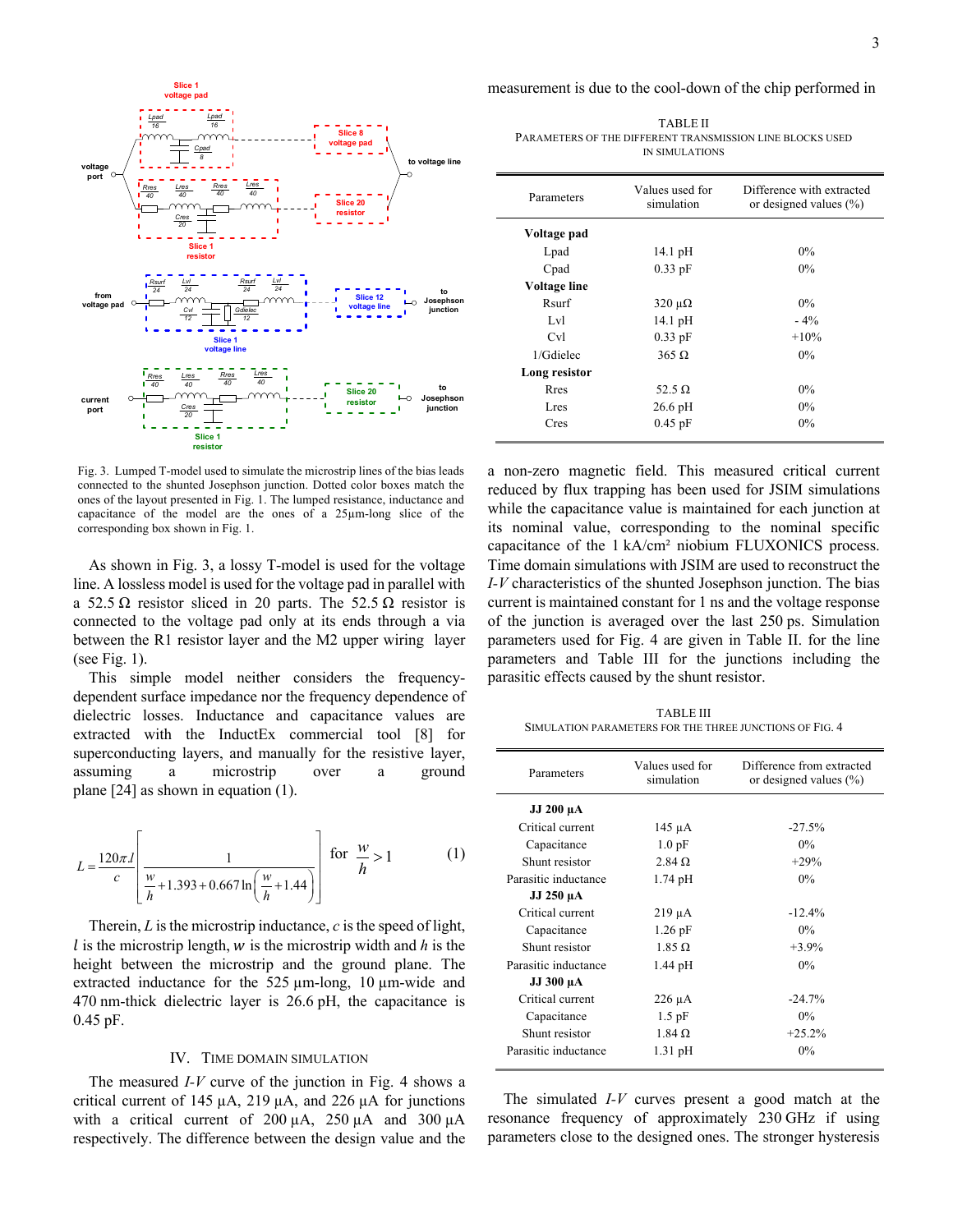



Fig. 3. Lumped T-model used to simulate the microstrip lines of the bias leads connected to the shunted Josephson junction. Dotted color boxes match the ones of the layout presented in Fig. 1. The lumped resistance, inductance and capacitance of the model are the ones of a 25µm-long slice of the corresponding box shown in Fig. 1.

As shown in Fig. 3, a lossy T-model is used for the voltage line. A lossless model is used for the voltage pad in parallel with a 52.5  $\Omega$  resistor sliced in 20 parts. The 52.5  $\Omega$  resistor is connected to the voltage pad only at its ends through a via between the R1 resistor layer and the M2 upper wiring layer (see Fig. 1).

This simple model neither considers the frequencydependent surface impedance nor the frequency dependence of dielectric losses. Inductance and capacitance values are extracted with the InductEx commercial tool [8] for superconducting layers, and manually for the resistive layer, assuming a microstrip over a ground plane [24] as shown in equation (1).

$$
L = \frac{120\pi l}{c} \left[ \frac{1}{\frac{w}{h} + 1.393 + 0.667 \ln\left(\frac{w}{h} + 1.44\right)} \right] \text{ for } \frac{w}{h} > 1
$$
 (1)

Therein, *L* is the microstrip inductance, *c* is the speed of light,  $l$  is the microstrip length,  $w$  is the microstrip width and  $h$  is the height between the microstrip and the ground plane. The extracted inductance for the 525 µm-long, 10 µm-wide and 470 nm-thick dielectric layer is 26.6 pH, the capacitance is 0.45 pF.

#### IV. TIME DOMAIN SIMULATION

The measured *I-V* curve of the junction in Fig. 4 shows a critical current of 145  $\mu$ A, 219  $\mu$ A, and 226  $\mu$ A for junctions with a critical current of 200  $\mu$ A, 250  $\mu$ A and 300  $\mu$ A respectively. The difference between the design value and the

TABLE II PARAMETERS OF THE DIFFERENT TRANSMISSION LINE BLOCKS USED IN SIMULATIONS

| Parameters    | Values used for<br>simulation | Difference with extracted<br>or designed values $(\% )$ |
|---------------|-------------------------------|---------------------------------------------------------|
| Voltage pad   |                               |                                                         |
| Lpad          | 14.1 pH                       | $0\%$                                                   |
| Cpad          | $0.33$ pF                     | $0\%$                                                   |
| Voltage line  |                               |                                                         |
| Rsurf         | $320 \mu\Omega$               | $0\%$                                                   |
| Lvl           | $14.1\,\mathrm{pH}$           | $-4\%$                                                  |
| Cv1           | $0.33$ pF                     | $+10%$                                                  |
| 1/Gdielec     | $365 \Omega$                  | $0\%$                                                   |
| Long resistor |                               |                                                         |
| Rres          | 52.5 $\Omega$                 | $0\%$                                                   |
| Lres          | $26.6$ pH                     | $0\%$                                                   |
| Cres          | $0.45$ pF                     | $0\%$                                                   |

a non-zero magnetic field. This measured critical current reduced by flux trapping has been used for JSIM simulations while the capacitance value is maintained for each junction at its nominal value, corresponding to the nominal specific capacitance of the 1 kA/cm² niobium FLUXONICS process. Time domain simulations with JSIM are used to reconstruct the *I-V* characteristics of the shunted Josephson junction. The bias current is maintained constant for 1 ns and the voltage response of the junction is averaged over the last 250 ps. Simulation parameters used for Fig. 4 are given in Table II. for the line parameters and Table III for the junctions including the parasitic effects caused by the shunt resistor.

TABLE III SIMULATION PARAMETERS FOR THE THREE JUNCTIONS OF FIG. 4

| Parameters           | Values used for<br>simulation | Difference from extracted<br>or designed values $(\% )$ |
|----------------------|-------------------------------|---------------------------------------------------------|
| JJ 200 µA            |                               |                                                         |
| Critical current     | 145 µA                        | $-27.5%$                                                |
| Capacitance          | 1.0 <sub>pF</sub>             | $0\%$                                                   |
| Shunt resistor       | $2.84\Omega$                  | $+29%$                                                  |
| Parasitic inductance | $1.74$ pH                     | $0\%$                                                   |
| JJ 250 µA            |                               |                                                         |
| Critical current     | $219 \mu A$                   | $-12.4%$                                                |
| Capacitance          | $1.26$ pF                     | $0\%$                                                   |
| Shunt resistor       | $1.85 \Omega$                 | $+3.9%$                                                 |
| Parasitic inductance | $1.44$ pH                     | $0\%$                                                   |
| JJ 300 µA            |                               |                                                         |
| Critical current     | $226 \mu A$                   | $-24.7%$                                                |
| Capacitance          | $1.5$ pF                      | $0\%$                                                   |
| Shunt resistor       | $1.84 \Omega$                 | $+25.2%$                                                |
| Parasitic inductance | $1.31$ pH                     | $0\%$                                                   |

The simulated *I-V* curves present a good match at the resonance frequency of approximately 230 GHz if using parameters close to the designed ones. The stronger hysteresis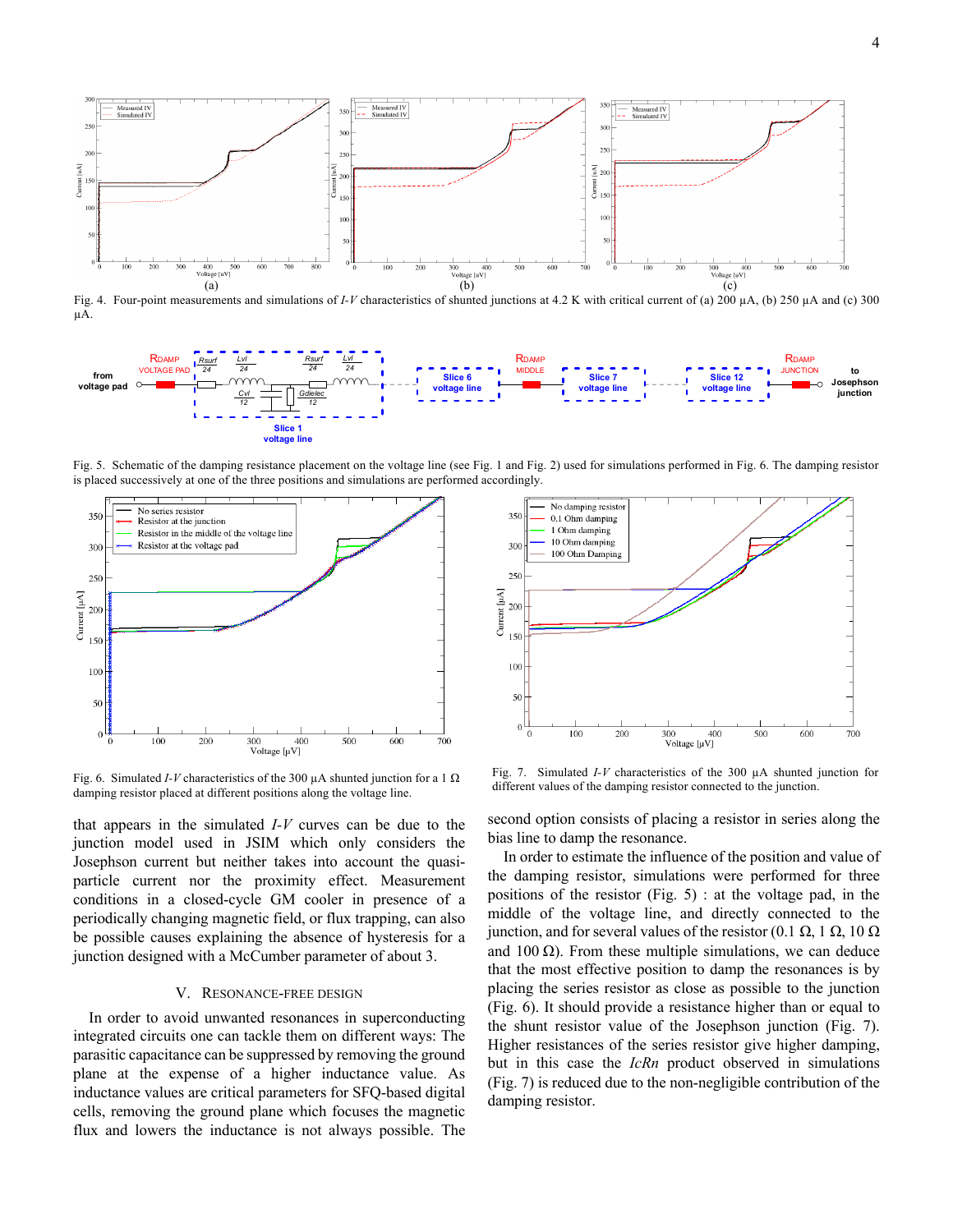

Fig. 4. Four-point measurements and simulations of *I-V* characteristics of shunted junctions at 4.2 K with critical current of (a) 200 µA, (b) 250 µA and (c) 300 µA.



Fig. 5. Schematic of the damping resistance placement on the voltage line (see Fig. 1 and Fig. 2) used for simulations performed in Fig. 6. The damping resistor is placed successively at one of the three positions and simulations are performed accordingly.



Fig. 6. Simulated *I-V* characteristics of the 300 µA shunted junction for a 1 Ω damping resistor placed at different positions along the voltage line.

that appears in the simulated *I-V* curves can be due to the junction model used in JSIM which only considers the Josephson current but neither takes into account the quasiparticle current nor the proximity effect. Measurement conditions in a closed-cycle GM cooler in presence of a periodically changing magnetic field, or flux trapping, can also be possible causes explaining the absence of hysteresis for a junction designed with a McCumber parameter of about 3.

## V. RESONANCE-FREE DESIGN

In order to avoid unwanted resonances in superconducting integrated circuits one can tackle them on different ways: The parasitic capacitance can be suppressed by removing the ground plane at the expense of a higher inductance value. As inductance values are critical parameters for SFQ-based digital cells, removing the ground plane which focuses the magnetic flux and lowers the inductance is not always possible. The



Fig. 7. Simulated *I-V* characteristics of the 300 µA shunted junction for different values of the damping resistor connected to the junction.

second option consists of placing a resistor in series along the bias line to damp the resonance.

In order to estimate the influence of the position and value of the damping resistor, simulations were performed for three positions of the resistor (Fig. 5) : at the voltage pad, in the middle of the voltage line, and directly connected to the junction, and for several values of the resistor (0.1 Ω, 1 Ω, 10 Ω and 100  $\Omega$ ). From these multiple simulations, we can deduce that the most effective position to damp the resonances is by placing the series resistor as close as possible to the junction (Fig. 6). It should provide a resistance higher than or equal to the shunt resistor value of the Josephson junction (Fig. 7). Higher resistances of the series resistor give higher damping, but in this case the *IcRn* product observed in simulations (Fig. 7) is reduced due to the non-negligible contribution of the damping resistor.